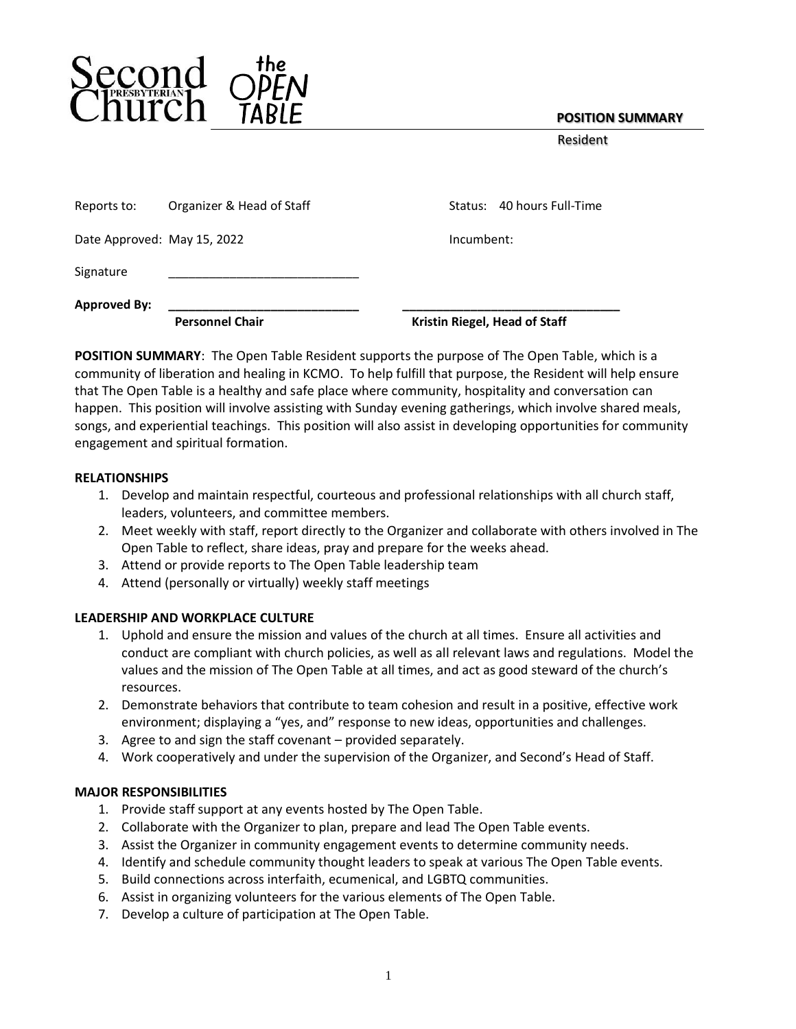## **POSITION SUMMARY**

Resident

| Reports to:                 | Organizer & Head of Staff | Status: 40 hours Full-Time    |
|-----------------------------|---------------------------|-------------------------------|
| Date Approved: May 15, 2022 |                           | Incumbent:                    |
| Signature                   |                           |                               |
| <b>Approved By:</b>         | <b>Personnel Chair</b>    | Kristin Riegel, Head of Staff |

**POSITION SUMMARY**: The Open Table Resident supports the purpose of The Open Table, which is a community of liberation and healing in KCMO. To help fulfill that purpose, the Resident will help ensure that The Open Table is a healthy and safe place where community, hospitality and conversation can happen. This position will involve assisting with Sunday evening gatherings, which involve shared meals, songs, and experiential teachings. This position will also assist in developing opportunities for community engagement and spiritual formation.

### **RELATIONSHIPS**

- 1. Develop and maintain respectful, courteous and professional relationships with all church staff, leaders, volunteers, and committee members.
- 2. Meet weekly with staff, report directly to the Organizer and collaborate with others involved in The Open Table to reflect, share ideas, pray and prepare for the weeks ahead.
- 3. Attend or provide reports to The Open Table leadership team
- 4. Attend (personally or virtually) weekly staff meetings

### **LEADERSHIP AND WORKPLACE CULTURE**

- 1. Uphold and ensure the mission and values of the church at all times. Ensure all activities and conduct are compliant with church policies, as well as all relevant laws and regulations. Model the values and the mission of The Open Table at all times, and act as good steward of the church's resources.
- 2. Demonstrate behaviors that contribute to team cohesion and result in a positive, effective work environment; displaying a "yes, and" response to new ideas, opportunities and challenges.
- 3. Agree to and sign the staff covenant provided separately.
- 4. Work cooperatively and under the supervision of the Organizer, and Second's Head of Staff.

### **MAJOR RESPONSIBILITIES**

- 1. Provide staff support at any events hosted by The Open Table.
- 2. Collaborate with the Organizer to plan, prepare and lead The Open Table events.
- 3. Assist the Organizer in community engagement events to determine community needs.
- 4. Identify and schedule community thought leaders to speak at various The Open Table events.
- 5. Build connections across interfaith, ecumenical, and LGBTQ communities.
- 6. Assist in organizing volunteers for the various elements of The Open Table.
- 7. Develop a culture of participation at The Open Table.